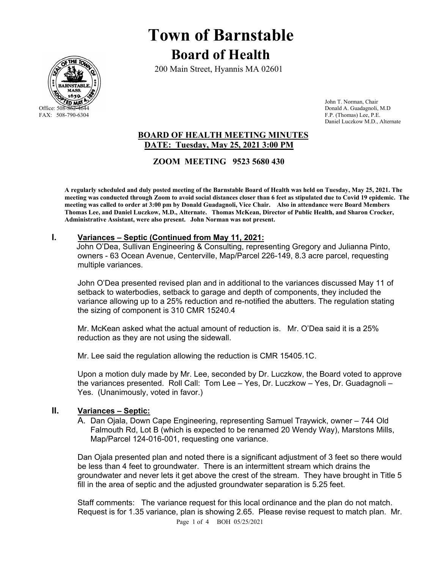

# **Town of Barnstable Board of Health**

200 Main Street, Hyannis MA 02601

 John T. Norman, Chair Office: 508-862-4644 Donald A. Guadagnoli, M.D<br>
FAX: 508-790-6304 FAX: 508-790-6304 P.E. F.P. (Thomas) Lee, P.E. Daniel Luczkow M.D., Alternate

# **BOARD OF HEALTH MEETING MINUTES DATE: Tuesday, May 25, 2021 3:00 PM**

 **ZOOM MEETING 9523 5680 430** 

**A regularly scheduled and duly posted meeting of the Barnstable Board of Health was held on Tuesday, May 25, 2021. The meeting was conducted through Zoom to avoid social distances closer than 6 feet as stipulated due to Covid 19 epidemic. The meeting was called to order at 3:00 pm by Donald Guadagnoli, Vice Chair. Also in attendance were Board Members Thomas Lee, and Daniel Luczkow, M.D., Alternate. Thomas McKean, Director of Public Health, and Sharon Crocker, Administrative Assistant, were also present. John Norman was not present.** 

## **I. Variances – Septic (Continued from May 11, 2021:**

 John O'Dea, Sullivan Engineering & Consulting, representing Gregory and Julianna Pinto, owners - 63 Ocean Avenue, Centerville, Map/Parcel 226-149, 8.3 acre parcel, requesting multiple variances.

John O'Dea presented revised plan and in additional to the variances discussed May 11 of setback to waterbodies, setback to garage and depth of components, they included the variance allowing up to a 25% reduction and re-notified the abutters. The regulation stating the sizing of component is 310 CMR 15240.4

Mr. McKean asked what the actual amount of reduction is. Mr. O'Dea said it is a 25% reduction as they are not using the sidewall.

Mr. Lee said the regulation allowing the reduction is CMR 15405.1C.

Upon a motion duly made by Mr. Lee, seconded by Dr. Luczkow, the Board voted to approve the variances presented. Roll Call: Tom Lee – Yes, Dr. Luczkow – Yes, Dr. Guadagnoli – Yes. (Unanimously, voted in favor.)

## **II. Variances – Septic:**

A. Dan Ojala, Down Cape Engineering, representing Samuel Traywick, owner – 744 Old Falmouth Rd, Lot B (which is expected to be renamed 20 Wendy Way), Marstons Mills, Map/Parcel 124-016-001, requesting one variance.

Dan Ojala presented plan and noted there is a significant adjustment of 3 feet so there would be less than 4 feet to groundwater. There is an intermittent stream which drains the groundwater and never lets it get above the crest of the stream. They have brought in Title 5 fill in the area of septic and the adjusted groundwater separation is 5.25 feet.

Staff comments: The variance request for this local ordinance and the plan do not match. Request is for 1.35 variance, plan is showing 2.65. Please revise request to match plan. Mr.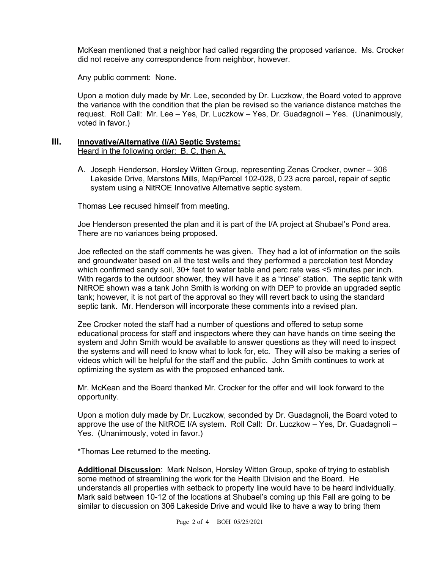McKean mentioned that a neighbor had called regarding the proposed variance. Ms. Crocker did not receive any correspondence from neighbor, however.

Any public comment: None.

Upon a motion duly made by Mr. Lee, seconded by Dr. Luczkow, the Board voted to approve the variance with the condition that the plan be revised so the variance distance matches the request. Roll Call: Mr. Lee – Yes, Dr. Luczkow – Yes, Dr. Guadagnoli – Yes. (Unanimously, voted in favor.)

#### **III. Innovative/Alternative (I/A) Septic Systems:** Heard in the following order: B, C, then A.

A. Joseph Henderson, Horsley Witten Group, representing Zenas Crocker, owner – 306 Lakeside Drive, Marstons Mills, Map/Parcel 102-028, 0.23 acre parcel, repair of septic system using a NitROE Innovative Alternative septic system.

Thomas Lee recused himself from meeting.

Joe Henderson presented the plan and it is part of the I/A project at Shubael's Pond area. There are no variances being proposed.

Joe reflected on the staff comments he was given. They had a lot of information on the soils and groundwater based on all the test wells and they performed a percolation test Monday which confirmed sandy soil, 30+ feet to water table and perc rate was <5 minutes per inch. With regards to the outdoor shower, they will have it as a "rinse" station. The septic tank with NitROE shown was a tank John Smith is working on with DEP to provide an upgraded septic tank; however, it is not part of the approval so they will revert back to using the standard septic tank. Mr. Henderson will incorporate these comments into a revised plan.

Zee Crocker noted the staff had a number of questions and offered to setup some educational process for staff and inspectors where they can have hands on time seeing the system and John Smith would be available to answer questions as they will need to inspect the systems and will need to know what to look for, etc. They will also be making a series of videos which will be helpful for the staff and the public. John Smith continues to work at optimizing the system as with the proposed enhanced tank.

Mr. McKean and the Board thanked Mr. Crocker for the offer and will look forward to the opportunity.

Upon a motion duly made by Dr. Luczkow, seconded by Dr. Guadagnoli, the Board voted to approve the use of the NitROE I/A system. Roll Call: Dr. Luczkow – Yes, Dr. Guadagnoli – Yes. (Unanimously, voted in favor.)

\*Thomas Lee returned to the meeting.

**Additional Discussion**: Mark Nelson, Horsley Witten Group, spoke of trying to establish some method of streamlining the work for the Health Division and the Board. He understands all properties with setback to property line would have to be heard individually. Mark said between 10-12 of the locations at Shubael's coming up this Fall are going to be similar to discussion on 306 Lakeside Drive and would like to have a way to bring them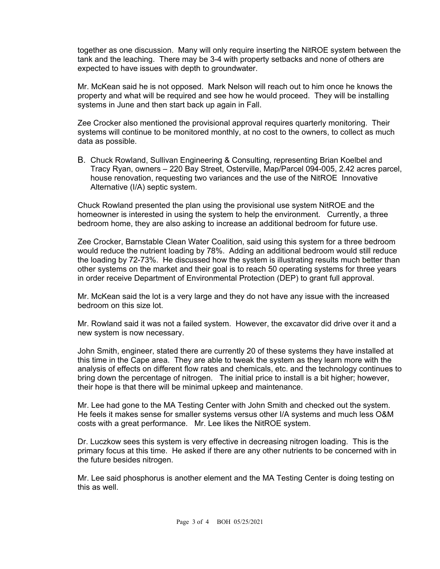together as one discussion. Many will only require inserting the NitROE system between the tank and the leaching. There may be 3-4 with property setbacks and none of others are expected to have issues with depth to groundwater.

Mr. McKean said he is not opposed. Mark Nelson will reach out to him once he knows the property and what will be required and see how he would proceed. They will be installing systems in June and then start back up again in Fall.

Zee Crocker also mentioned the provisional approval requires quarterly monitoring. Their systems will continue to be monitored monthly, at no cost to the owners, to collect as much data as possible.

B. Chuck Rowland, Sullivan Engineering & Consulting, representing Brian Koelbel and Tracy Ryan, owners – 220 Bay Street, Osterville, Map/Parcel 094-005, 2.42 acres parcel, house renovation, requesting two variances and the use of the NitROE Innovative Alternative (I/A) septic system.

Chuck Rowland presented the plan using the provisional use system NitROE and the homeowner is interested in using the system to help the environment. Currently, a three bedroom home, they are also asking to increase an additional bedroom for future use.

Zee Crocker, Barnstable Clean Water Coalition, said using this system for a three bedroom would reduce the nutrient loading by 78%. Adding an additional bedroom would still reduce the loading by 72-73%. He discussed how the system is illustrating results much better than other systems on the market and their goal is to reach 50 operating systems for three years in order receive Department of Environmental Protection (DEP) to grant full approval.

Mr. McKean said the lot is a very large and they do not have any issue with the increased bedroom on this size lot.

Mr. Rowland said it was not a failed system. However, the excavator did drive over it and a new system is now necessary.

John Smith, engineer, stated there are currently 20 of these systems they have installed at this time in the Cape area. They are able to tweak the system as they learn more with the analysis of effects on different flow rates and chemicals, etc. and the technology continues to bring down the percentage of nitrogen. The initial price to install is a bit higher; however, their hope is that there will be minimal upkeep and maintenance.

Mr. Lee had gone to the MA Testing Center with John Smith and checked out the system. He feels it makes sense for smaller systems versus other I/A systems and much less O&M costs with a great performance. Mr. Lee likes the NitROE system.

Dr. Luczkow sees this system is very effective in decreasing nitrogen loading. This is the primary focus at this time. He asked if there are any other nutrients to be concerned with in the future besides nitrogen.

Mr. Lee said phosphorus is another element and the MA Testing Center is doing testing on this as well.